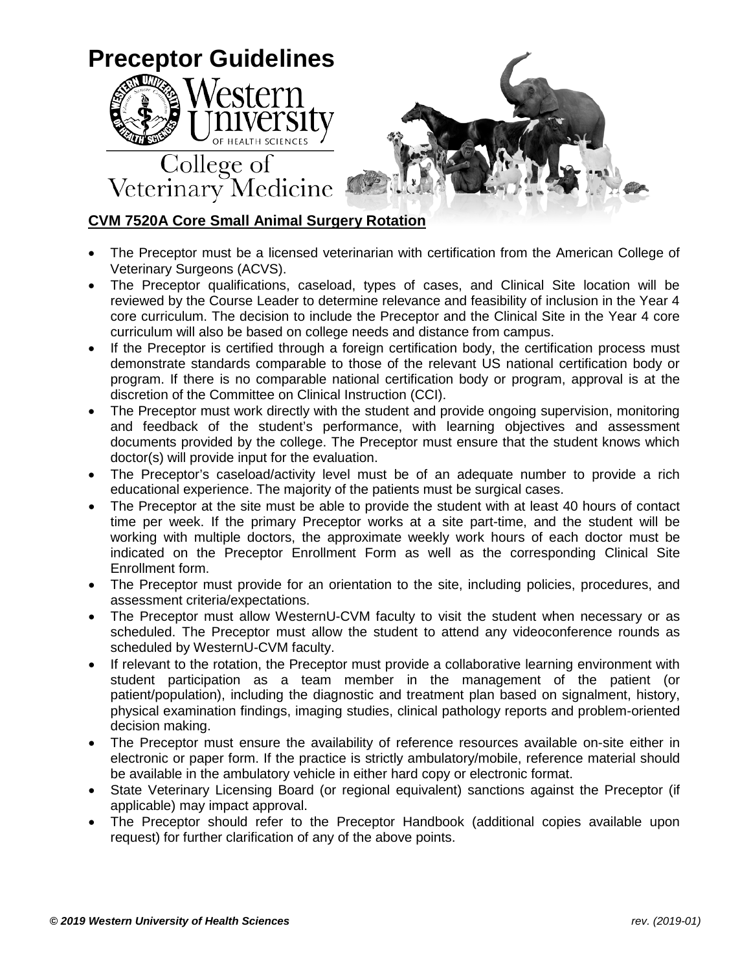

## **CVM 7520A Core Small Animal Surgery Rotation**

- The Preceptor must be a licensed veterinarian with certification from the American College of Veterinary Surgeons (ACVS).
- The Preceptor qualifications, caseload, types of cases, and Clinical Site location will be reviewed by the Course Leader to determine relevance and feasibility of inclusion in the Year 4 core curriculum. The decision to include the Preceptor and the Clinical Site in the Year 4 core curriculum will also be based on college needs and distance from campus.
- If the Preceptor is certified through a foreign certification body, the certification process must demonstrate standards comparable to those of the relevant US national certification body or program. If there is no comparable national certification body or program, approval is at the discretion of the Committee on Clinical Instruction (CCI).
- The Preceptor must work directly with the student and provide ongoing supervision, monitoring and feedback of the student's performance, with learning objectives and assessment documents provided by the college. The Preceptor must ensure that the student knows which doctor(s) will provide input for the evaluation.
- The Preceptor's caseload/activity level must be of an adequate number to provide a rich educational experience. The majority of the patients must be surgical cases.
- The Preceptor at the site must be able to provide the student with at least 40 hours of contact time per week. If the primary Preceptor works at a site part-time, and the student will be working with multiple doctors, the approximate weekly work hours of each doctor must be indicated on the Preceptor Enrollment Form as well as the corresponding Clinical Site Enrollment form.
- The Preceptor must provide for an orientation to the site, including policies, procedures, and assessment criteria/expectations.
- The Preceptor must allow WesternU-CVM faculty to visit the student when necessary or as scheduled. The Preceptor must allow the student to attend any videoconference rounds as scheduled by WesternU-CVM faculty.
- If relevant to the rotation, the Preceptor must provide a collaborative learning environment with student participation as a team member in the management of the patient (or patient/population), including the diagnostic and treatment plan based on signalment, history, physical examination findings, imaging studies, clinical pathology reports and problem-oriented decision making.
- The Preceptor must ensure the availability of reference resources available on-site either in electronic or paper form. If the practice is strictly ambulatory/mobile, reference material should be available in the ambulatory vehicle in either hard copy or electronic format.
- State Veterinary Licensing Board (or regional equivalent) sanctions against the Preceptor (if applicable) may impact approval.
- The Preceptor should refer to the Preceptor Handbook (additional copies available upon request) for further clarification of any of the above points.